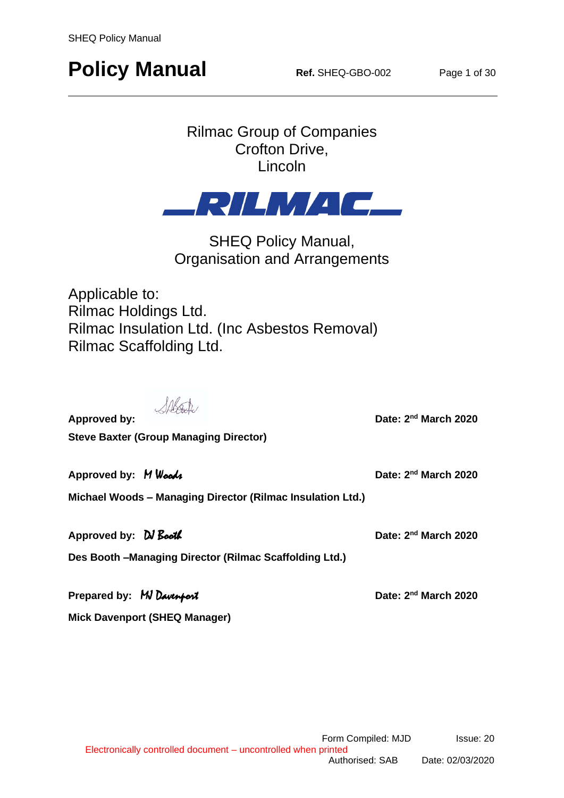## **Policy Manual Ref.** SHEQ-GBO-002 **Page 1 of 30**

### Rilmac Group of Companies Crofton Drive, Lincoln



SHEQ Policy Manual, Organisation and Arrangements

Applicable to: Rilmac Holdings Ltd. Rilmac Insulation Ltd. (Inc Asbestos Removal) Rilmac Scaffolding Ltd.

Salsate.

Date: 2<sup>nd</sup> March 2020

**Approved by: Steve Baxter (Group Managing Director)**

Date: 2<sup>nd</sup> March 2020

Date: 2<sup>nd</sup> March 2020

**Michael Woods – Managing Director (Rilmac Insulation Ltd.)**

Approved by: *DJ Booth* Date: 2<sup>nd</sup> March 2020 **Des Booth –Managing Director (Rilmac Scaffolding Ltd.)**

**Prepared by: MJ Davenport Mick Davenport (SHEQ Manager)**

Approved by: M Woods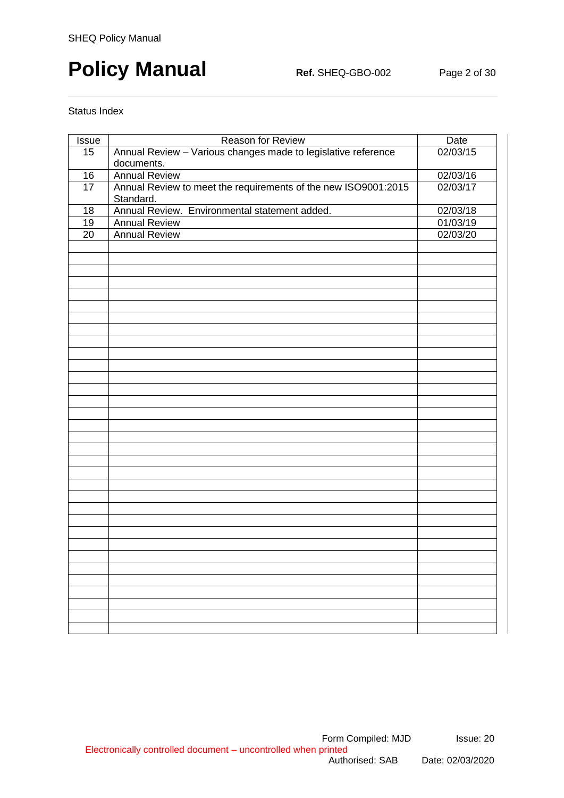# **Policy Manual Ref.** SHEQ-GBO-002 Page 2 of 30

#### Status Index

| Issue           | Reason for Review                                              | Date     |
|-----------------|----------------------------------------------------------------|----------|
| 15              | Annual Review - Various changes made to legislative reference  | 02/03/15 |
|                 | documents.                                                     |          |
| 16              | <b>Annual Review</b>                                           | 02/03/16 |
| $\overline{17}$ | Annual Review to meet the requirements of the new ISO9001:2015 | 02/03/17 |
|                 | Standard.                                                      |          |
| 18              | Annual Review. Environmental statement added.                  | 02/03/18 |
| 19              | <b>Annual Review</b>                                           | 01/03/19 |
| $\overline{20}$ | <b>Annual Review</b>                                           | 02/03/20 |
|                 |                                                                |          |
|                 |                                                                |          |
|                 |                                                                |          |
|                 |                                                                |          |
|                 |                                                                |          |
|                 |                                                                |          |
|                 |                                                                |          |
|                 |                                                                |          |
|                 |                                                                |          |
|                 |                                                                |          |
|                 |                                                                |          |
|                 |                                                                |          |
|                 |                                                                |          |
|                 |                                                                |          |
|                 |                                                                |          |
|                 |                                                                |          |
|                 |                                                                |          |
|                 |                                                                |          |
|                 |                                                                |          |
|                 |                                                                |          |
|                 |                                                                |          |
|                 |                                                                |          |
|                 |                                                                |          |
|                 |                                                                |          |
|                 |                                                                |          |
|                 |                                                                |          |
|                 |                                                                |          |
|                 |                                                                |          |
|                 |                                                                |          |
|                 |                                                                |          |
|                 |                                                                |          |
|                 |                                                                |          |
|                 |                                                                |          |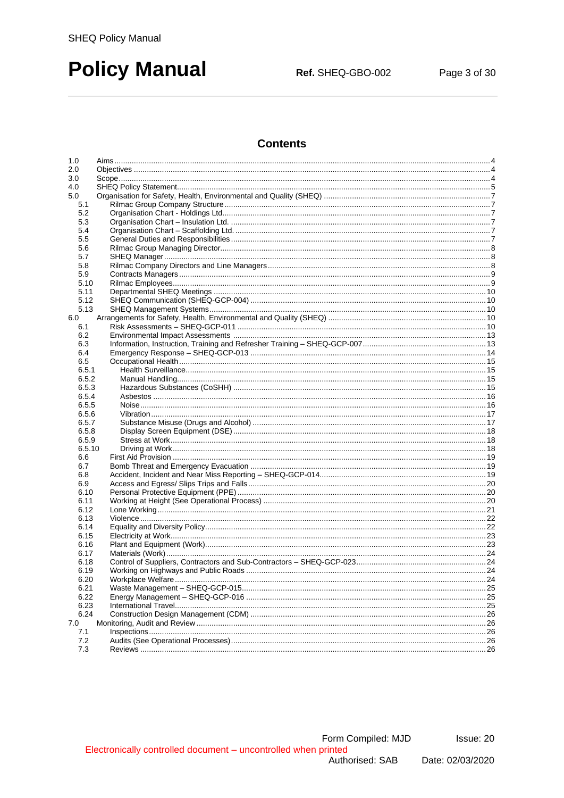### **Policy Manual**

Ref. SHEQ-GBO-002

### **Contents**

| 1.0         |  |
|-------------|--|
| 2.0         |  |
| 3.0         |  |
| 4.0         |  |
| 5.0         |  |
| 5.1         |  |
| 5.2         |  |
| 5.3         |  |
| 5.4         |  |
| 5.5         |  |
| 5.6         |  |
| 5.7         |  |
| 5.8         |  |
| 5.9<br>5.10 |  |
| 5.11        |  |
| 5.12        |  |
| 5.13        |  |
| 6.0         |  |
| 6.1         |  |
| 6.2         |  |
| 6.3         |  |
| 6.4         |  |
| 6.5         |  |
| 6.5.1       |  |
| 6.5.2       |  |
| 6.5.3       |  |
| 6.5.4       |  |
| 6.5.5       |  |
| 6.5.6       |  |
| 6.5.7       |  |
| 6.5.8       |  |
| 6.5.9       |  |
| 6.5.10      |  |
| 6.6         |  |
| 6.7<br>6.8  |  |
| 6.9         |  |
| 6.10        |  |
| 6.11        |  |
| 6.12        |  |
| 6.13        |  |
| 6.14        |  |
| 6.15        |  |
| 6.16        |  |
| 6.17        |  |
| 6.18        |  |
| 6.19        |  |
| 6.20        |  |
| 6.21        |  |
| 6.22        |  |
| 6.23        |  |
| 6.24        |  |
| 7.0         |  |
| 7.1         |  |
| 7.2         |  |
| 7.3         |  |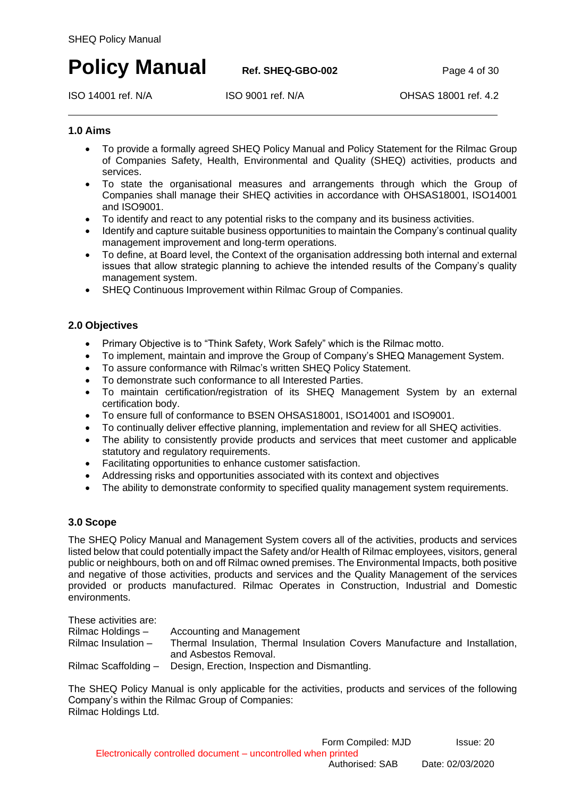### **Policy Manual Ref. SHEQ-GBO-002 Page 4 of 30**

ISO 14001 ref. N/A ISO 9001 ref. N/A OHSAS 18001 ref. 4.2

### <span id="page-3-0"></span>**1.0 Aims**

- To provide a formally agreed SHEQ Policy Manual and Policy Statement for the Rilmac Group of Companies Safety, Health, Environmental and Quality (SHEQ) activities, products and services.
- To state the organisational measures and arrangements through which the Group of Companies shall manage their SHEQ activities in accordance with OHSAS18001, ISO14001 and ISO9001.
- To identify and react to any potential risks to the company and its business activities.
- Identify and capture suitable business opportunities to maintain the Company's continual quality management improvement and long-term operations.
- To define, at Board level, the Context of the organisation addressing both internal and external issues that allow strategic planning to achieve the intended results of the Company's quality management system.
- SHEQ Continuous Improvement within Rilmac Group of Companies.

### <span id="page-3-1"></span>**2.0 Objectives**

- Primary Objective is to "Think Safety, Work Safely" which is the Rilmac motto.
- To implement, maintain and improve the Group of Company's SHEQ Management System.
- To assure conformance with Rilmac's written SHEQ Policy Statement.
- To demonstrate such conformance to all Interested Parties.
- To maintain certification/registration of its SHEQ Management System by an external certification body.
- To ensure full of conformance to BSEN OHSAS18001, ISO14001 and ISO9001.
- To continually deliver effective planning, implementation and review for all SHEQ activities.
- The ability to consistently provide products and services that meet customer and applicable statutory and regulatory requirements.
- Facilitating opportunities to enhance customer satisfaction.
- Addressing risks and opportunities associated with its context and objectives
- The ability to demonstrate conformity to specified quality management system requirements.

### <span id="page-3-2"></span>**3.0 Scope**

The SHEQ Policy Manual and Management System covers all of the activities, products and services listed below that could potentially impact the Safety and/or Health of Rilmac employees, visitors, general public or neighbours, both on and off Rilmac owned premises. The Environmental Impacts, both positive and negative of those activities, products and services and the Quality Management of the services provided or products manufactured. Rilmac Operates in Construction, Industrial and Domestic environments.

These activities are:

| Rilmac Holdings -     | Accounting and Management                                                   |
|-----------------------|-----------------------------------------------------------------------------|
| Rilmac Insulation $-$ | Thermal Insulation, Thermal Insulation Covers Manufacture and Installation, |
|                       | and Asbestos Removal.                                                       |
| Rilmac Scaffolding -  | Design, Erection, Inspection and Dismantling.                               |

The SHEQ Policy Manual is only applicable for the activities, products and services of the following Company's within the Rilmac Group of Companies: Rilmac Holdings Ltd.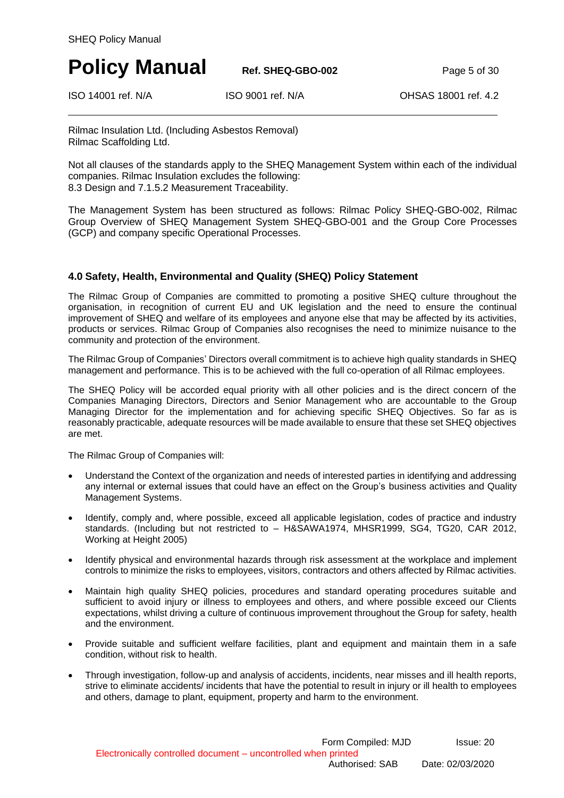**Policy Manual Ref. SHEQ-GBO-002 Page 5 of 30** 

ISO 14001 ref. N/A ISO 9001 ref. N/A OHSAS 18001 ref. 4.2

Rilmac Insulation Ltd. (Including Asbestos Removal) Rilmac Scaffolding Ltd.

Not all clauses of the standards apply to the SHEQ Management System within each of the individual companies. Rilmac Insulation excludes the following: 8.3 Design and 7.1.5.2 Measurement Traceability.

The Management System has been structured as follows: Rilmac Policy SHEQ-GBO-002, Rilmac Group Overview of SHEQ Management System SHEQ-GBO-001 and the Group Core Processes (GCP) and company specific Operational Processes.

### **4.0 Safety, Health, Environmental and Quality (SHEQ) Policy Statement**

The Rilmac Group of Companies are committed to promoting a positive SHEQ culture throughout the organisation, in recognition of current EU and UK legislation and the need to ensure the continual improvement of SHEQ and welfare of its employees and anyone else that may be affected by its activities, products or services. Rilmac Group of Companies also recognises the need to minimize nuisance to the community and protection of the environment.

The Rilmac Group of Companies' Directors overall commitment is to achieve high quality standards in SHEQ management and performance. This is to be achieved with the full co-operation of all Rilmac employees.

The SHEQ Policy will be accorded equal priority with all other policies and is the direct concern of the Companies Managing Directors, Directors and Senior Management who are accountable to the Group Managing Director for the implementation and for achieving specific SHEQ Objectives. So far as is reasonably practicable, adequate resources will be made available to ensure that these set SHEQ objectives are met.

The Rilmac Group of Companies will:

- Understand the Context of the organization and needs of interested parties in identifying and addressing any internal or external issues that could have an effect on the Group's business activities and Quality Management Systems.
- Identify, comply and, where possible, exceed all applicable legislation, codes of practice and industry standards. (Including but not restricted to – H&SAWA1974, MHSR1999, SG4, TG20, CAR 2012, Working at Height 2005)
- Identify physical and environmental hazards through risk assessment at the workplace and implement controls to minimize the risks to employees, visitors, contractors and others affected by Rilmac activities.
- Maintain high quality SHEQ policies, procedures and standard operating procedures suitable and sufficient to avoid injury or illness to employees and others, and where possible exceed our Clients expectations, whilst driving a culture of continuous improvement throughout the Group for safety, health and the environment.
- Provide suitable and sufficient welfare facilities, plant and equipment and maintain them in a safe condition, without risk to health.
- Through investigation, follow-up and analysis of accidents, incidents, near misses and ill health reports, strive to eliminate accidents/ incidents that have the potential to result in injury or ill health to employees and others, damage to plant, equipment, property and harm to the environment.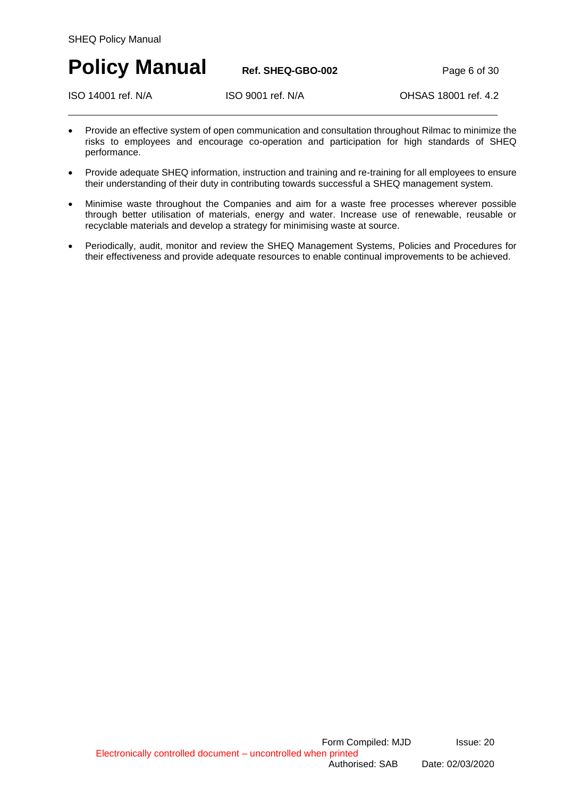**Policy Manual Ref. SHEQ-GBO-002** Page 6 of 30

ISO 14001 ref. N/A ISO 9001 ref. N/A OHSAS 18001 ref. 4.2

- Provide an effective system of open communication and consultation throughout Rilmac to minimize the risks to employees and encourage co-operation and participation for high standards of SHEQ performance.
- Provide adequate SHEQ information, instruction and training and re-training for all employees to ensure their understanding of their duty in contributing towards successful a SHEQ management system.
- Minimise waste throughout the Companies and aim for a waste free processes wherever possible through better utilisation of materials, energy and water. Increase use of renewable, reusable or recyclable materials and develop a strategy for minimising waste at source.
- Periodically, audit, monitor and review the SHEQ Management Systems, Policies and Procedures for their effectiveness and provide adequate resources to enable continual improvements to be achieved.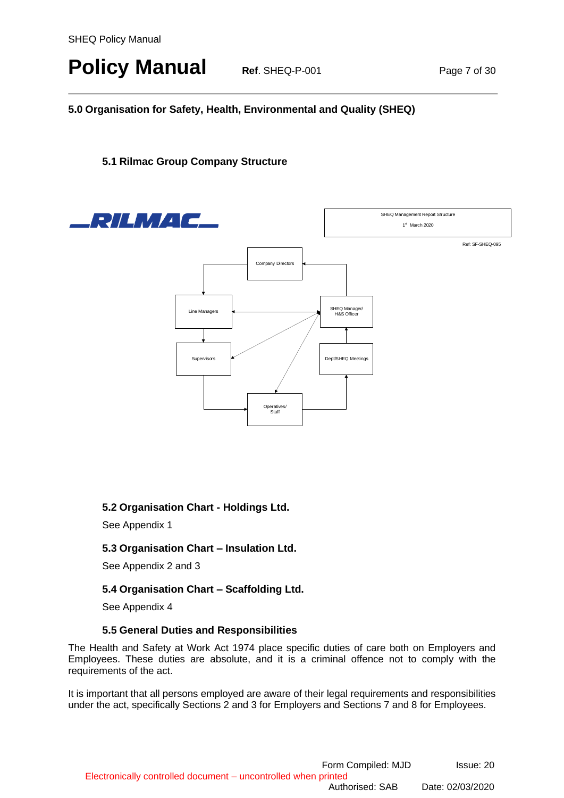# **Policy Manual Ref. SHEQ-P-001 Page 7 of 30**

### <span id="page-6-0"></span>**5.0 Organisation for Safety, Health, Environmental and Quality (SHEQ)**

### <span id="page-6-1"></span>**5.1 Rilmac Group Company Structure**



### <span id="page-6-2"></span>**5.2 Organisation Chart - Holdings Ltd.**

See Appendix 1

### <span id="page-6-3"></span>**5.3 Organisation Chart – Insulation Ltd.**

See Appendix 2 and 3

### <span id="page-6-4"></span>**5.4 Organisation Chart – Scaffolding Ltd.**

See Appendix 4

#### **5.5 General Duties and Responsibilities**

<span id="page-6-5"></span>The Health and Safety at Work Act 1974 place specific duties of care both on Employers and Employees. These duties are absolute, and it is a criminal offence not to comply with the requirements of the act.

It is important that all persons employed are aware of their legal requirements and responsibilities under the act, specifically Sections 2 and 3 for Employers and Sections 7 and 8 for Employees.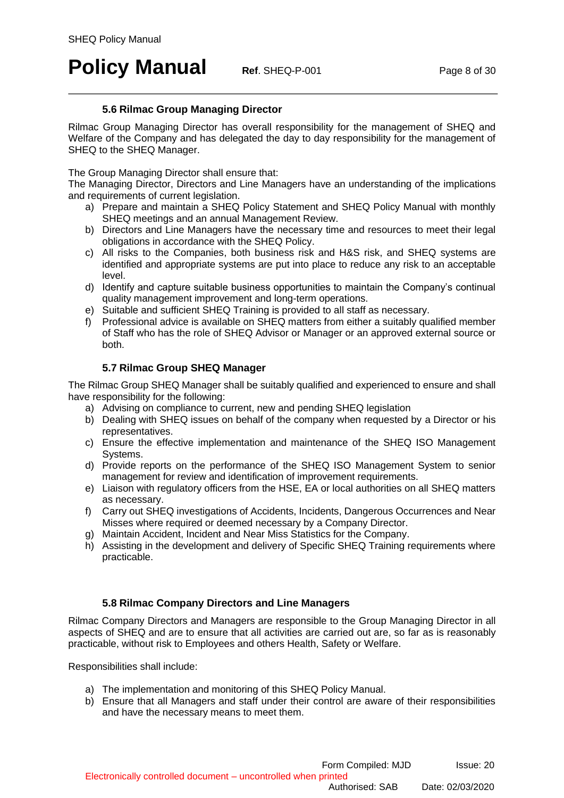# **Policy Manual Ref. SHEQ-P-001 Page 8 of 30**

### **5.6 Rilmac Group Managing Director**

<span id="page-7-0"></span>Rilmac Group Managing Director has overall responsibility for the management of SHEQ and Welfare of the Company and has delegated the day to day responsibility for the management of SHEQ to the SHEQ Manager.

The Group Managing Director shall ensure that:

The Managing Director, Directors and Line Managers have an understanding of the implications and requirements of current legislation.

- a) Prepare and maintain a SHEQ Policy Statement and SHEQ Policy Manual with monthly SHEQ meetings and an annual Management Review.
- b) Directors and Line Managers have the necessary time and resources to meet their legal obligations in accordance with the SHEQ Policy.
- c) All risks to the Companies, both business risk and H&S risk, and SHEQ systems are identified and appropriate systems are put into place to reduce any risk to an acceptable level.
- d) Identify and capture suitable business opportunities to maintain the Company's continual quality management improvement and long-term operations.
- e) Suitable and sufficient SHEQ Training is provided to all staff as necessary.
- f) Professional advice is available on SHEQ matters from either a suitably qualified member of Staff who has the role of SHEQ Advisor or Manager or an approved external source or both.

### **5.7 Rilmac Group SHEQ Manager**

<span id="page-7-1"></span>The Rilmac Group SHEQ Manager shall be suitably qualified and experienced to ensure and shall have responsibility for the following:

- a) Advising on compliance to current, new and pending SHEQ legislation
- b) Dealing with SHEQ issues on behalf of the company when requested by a Director or his representatives.
- c) Ensure the effective implementation and maintenance of the SHEQ ISO Management Systems.
- d) Provide reports on the performance of the SHEQ ISO Management System to senior management for review and identification of improvement requirements.
- e) Liaison with regulatory officers from the HSE, EA or local authorities on all SHEQ matters as necessary.
- f) Carry out SHEQ investigations of Accidents, Incidents, Dangerous Occurrences and Near Misses where required or deemed necessary by a Company Director.
- g) Maintain Accident, Incident and Near Miss Statistics for the Company.
- h) Assisting in the development and delivery of Specific SHEQ Training requirements where practicable.

### **5.8 Rilmac Company Directors and Line Managers**

<span id="page-7-2"></span>Rilmac Company Directors and Managers are responsible to the Group Managing Director in all aspects of SHEQ and are to ensure that all activities are carried out are, so far as is reasonably practicable, without risk to Employees and others Health, Safety or Welfare.

Responsibilities shall include:

- a) The implementation and monitoring of this SHEQ Policy Manual.
- b) Ensure that all Managers and staff under their control are aware of their responsibilities and have the necessary means to meet them.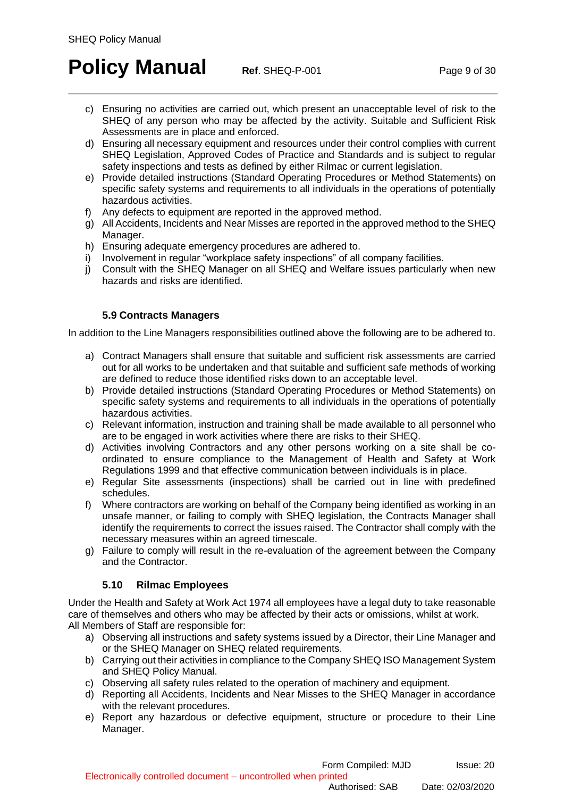# **Policy Manual Ref. SHEQ-P-001 Page 9 of 30**

- c) Ensuring no activities are carried out, which present an unacceptable level of risk to the SHEQ of any person who may be affected by the activity. Suitable and Sufficient Risk Assessments are in place and enforced.
- d) Ensuring all necessary equipment and resources under their control complies with current SHEQ Legislation, Approved Codes of Practice and Standards and is subject to regular safety inspections and tests as defined by either Rilmac or current legislation.
- e) Provide detailed instructions (Standard Operating Procedures or Method Statements) on specific safety systems and requirements to all individuals in the operations of potentially hazardous activities.
- f) Any defects to equipment are reported in the approved method.
- g) All Accidents, Incidents and Near Misses are reported in the approved method to the SHEQ Manager.
- h) Ensuring adequate emergency procedures are adhered to.
- i) Involvement in regular "workplace safety inspections" of all company facilities.
- j) Consult with the SHEQ Manager on all SHEQ and Welfare issues particularly when new hazards and risks are identified.

### **5.9 Contracts Managers**

<span id="page-8-0"></span>In addition to the Line Managers responsibilities outlined above the following are to be adhered to.

- a) Contract Managers shall ensure that suitable and sufficient risk assessments are carried out for all works to be undertaken and that suitable and sufficient safe methods of working are defined to reduce those identified risks down to an acceptable level.
- b) Provide detailed instructions (Standard Operating Procedures or Method Statements) on specific safety systems and requirements to all individuals in the operations of potentially hazardous activities.
- c) Relevant information, instruction and training shall be made available to all personnel who are to be engaged in work activities where there are risks to their SHEQ.
- d) Activities involving Contractors and any other persons working on a site shall be coordinated to ensure compliance to the Management of Health and Safety at Work Regulations 1999 and that effective communication between individuals is in place.
- e) Regular Site assessments (inspections) shall be carried out in line with predefined schedules.
- f) Where contractors are working on behalf of the Company being identified as working in an unsafe manner, or failing to comply with SHEQ legislation, the Contracts Manager shall identify the requirements to correct the issues raised. The Contractor shall comply with the necessary measures within an agreed timescale.
- g) Failure to comply will result in the re-evaluation of the agreement between the Company and the Contractor.

### **5.10 Rilmac Employees**

<span id="page-8-1"></span>Under the Health and Safety at Work Act 1974 all employees have a legal duty to take reasonable care of themselves and others who may be affected by their acts or omissions, whilst at work. All Members of Staff are responsible for:

- a) Observing all instructions and safety systems issued by a Director, their Line Manager and or the SHEQ Manager on SHEQ related requirements.
- b) Carrying out their activities in compliance to the Company SHEQ ISO Management System and SHEQ Policy Manual.
- c) Observing all safety rules related to the operation of machinery and equipment.
- d) Reporting all Accidents, Incidents and Near Misses to the SHEQ Manager in accordance with the relevant procedures.
- e) Report any hazardous or defective equipment, structure or procedure to their Line Manager.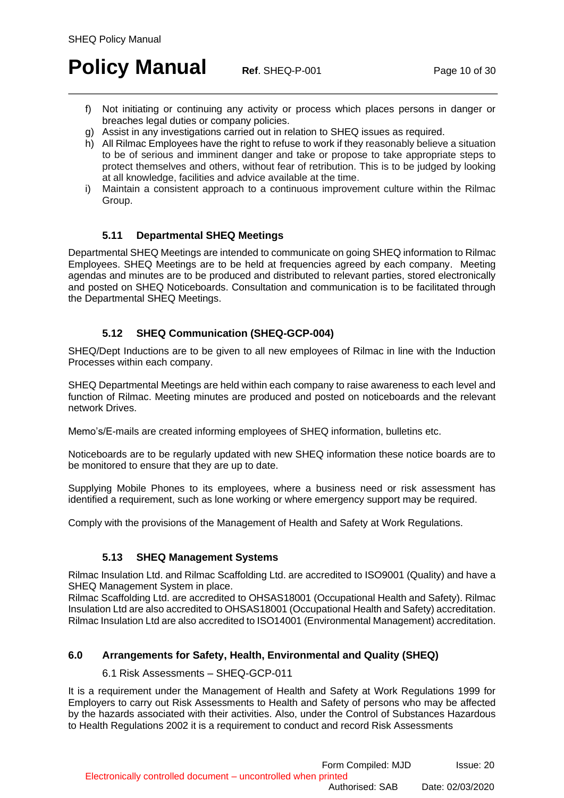# **Policy Manual Ref. SHEQ-P-001 Page 10 of 30**

- f) Not initiating or continuing any activity or process which places persons in danger or breaches legal duties or company policies.
- g) Assist in any investigations carried out in relation to SHEQ issues as required.
- h) All Rilmac Employees have the right to refuse to work if they reasonably believe a situation to be of serious and imminent danger and take or propose to take appropriate steps to protect themselves and others, without fear of retribution. This is to be judged by looking at all knowledge, facilities and advice available at the time.
- i) Maintain a consistent approach to a continuous improvement culture within the Rilmac Group.

### **5.11 Departmental SHEQ Meetings**

<span id="page-9-0"></span>Departmental SHEQ Meetings are intended to communicate on going SHEQ information to Rilmac Employees. SHEQ Meetings are to be held at frequencies agreed by each company. Meeting agendas and minutes are to be produced and distributed to relevant parties, stored electronically and posted on SHEQ Noticeboards. Consultation and communication is to be facilitated through the Departmental SHEQ Meetings.

### **5.12 SHEQ Communication (SHEQ-GCP-004)**

<span id="page-9-1"></span>SHEQ/Dept Inductions are to be given to all new employees of Rilmac in line with the Induction Processes within each company.

SHEQ Departmental Meetings are held within each company to raise awareness to each level and function of Rilmac. Meeting minutes are produced and posted on noticeboards and the relevant network Drives.

Memo's/E-mails are created informing employees of SHEQ information, bulletins etc.

Noticeboards are to be regularly updated with new SHEQ information these notice boards are to be monitored to ensure that they are up to date.

Supplying Mobile Phones to its employees, where a business need or risk assessment has identified a requirement, such as lone working or where emergency support may be required.

Comply with the provisions of the Management of Health and Safety at Work Regulations.

### **5.13 SHEQ Management Systems**

<span id="page-9-2"></span>Rilmac Insulation Ltd. and Rilmac Scaffolding Ltd. are accredited to ISO9001 (Quality) and have a SHEQ Management System in place.

Rilmac Scaffolding Ltd. are accredited to OHSAS18001 (Occupational Health and Safety). Rilmac Insulation Ltd are also accredited to OHSAS18001 (Occupational Health and Safety) accreditation. Rilmac Insulation Ltd are also accredited to ISO14001 (Environmental Management) accreditation.

### <span id="page-9-4"></span><span id="page-9-3"></span>**6.0 Arrangements for Safety, Health, Environmental and Quality (SHEQ)**

#### 6.1 Risk Assessments – SHEQ-GCP-011

It is a requirement under the Management of Health and Safety at Work Regulations 1999 for Employers to carry out Risk Assessments to Health and Safety of persons who may be affected by the hazards associated with their activities. Also, under the Control of Substances Hazardous to Health Regulations 2002 it is a requirement to conduct and record Risk Assessments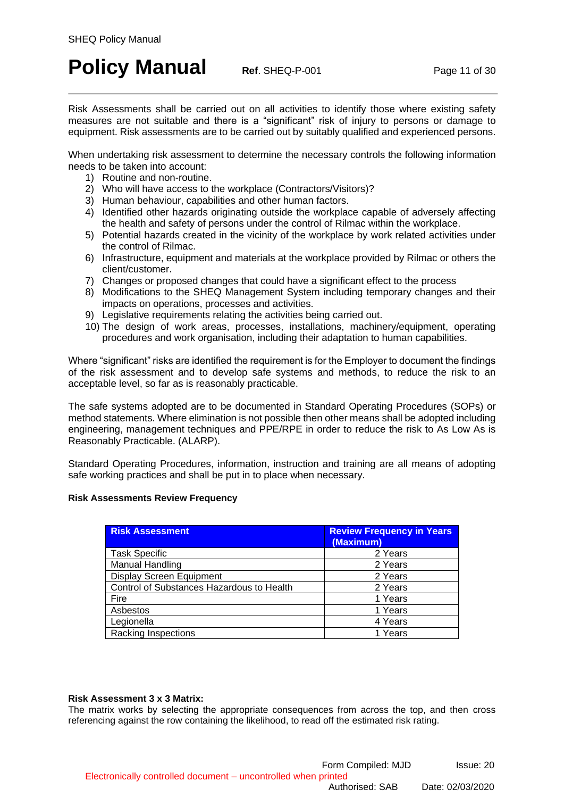# **Policy Manual Ref. SHEQ-P-001 Page 11 of 30**

Risk Assessments shall be carried out on all activities to identify those where existing safety measures are not suitable and there is a "significant" risk of injury to persons or damage to equipment. Risk assessments are to be carried out by suitably qualified and experienced persons.

When undertaking risk assessment to determine the necessary controls the following information needs to be taken into account:

- 1) Routine and non-routine.
- 2) Who will have access to the workplace (Contractors/Visitors)?
- 3) Human behaviour, capabilities and other human factors.
- 4) Identified other hazards originating outside the workplace capable of adversely affecting the health and safety of persons under the control of Rilmac within the workplace.
- 5) Potential hazards created in the vicinity of the workplace by work related activities under the control of Rilmac.
- 6) Infrastructure, equipment and materials at the workplace provided by Rilmac or others the client/customer.
- 7) Changes or proposed changes that could have a significant effect to the process
- 8) Modifications to the SHEQ Management System including temporary changes and their impacts on operations, processes and activities.
- 9) Legislative requirements relating the activities being carried out.
- 10) The design of work areas, processes, installations, machinery/equipment, operating procedures and work organisation, including their adaptation to human capabilities.

Where "significant" risks are identified the requirement is for the Employer to document the findings of the risk assessment and to develop safe systems and methods, to reduce the risk to an acceptable level, so far as is reasonably practicable.

The safe systems adopted are to be documented in Standard Operating Procedures (SOPs) or method statements. Where elimination is not possible then other means shall be adopted including engineering, management techniques and PPE/RPE in order to reduce the risk to As Low As is Reasonably Practicable. (ALARP).

Standard Operating Procedures, information, instruction and training are all means of adopting safe working practices and shall be put in to place when necessary.

#### **Risk Assessments Review Frequency**

| <b>Risk Assessment</b>                    | <b>Review Frequency in Years</b><br>(Maximum) |
|-------------------------------------------|-----------------------------------------------|
| <b>Task Specific</b>                      | 2 Years                                       |
| <b>Manual Handling</b>                    | 2 Years                                       |
| <b>Display Screen Equipment</b>           | 2 Years                                       |
| Control of Substances Hazardous to Health | 2 Years                                       |
| Fire                                      | 1 Years                                       |
| Asbestos                                  | 1 Years                                       |
| Legionella                                | 4 Years                                       |
| <b>Racking Inspections</b>                | 1 Years                                       |

#### **Risk Assessment 3 x 3 Matrix:**

The matrix works by selecting the appropriate consequences from across the top, and then cross referencing against the row containing the likelihood, to read off the estimated risk rating.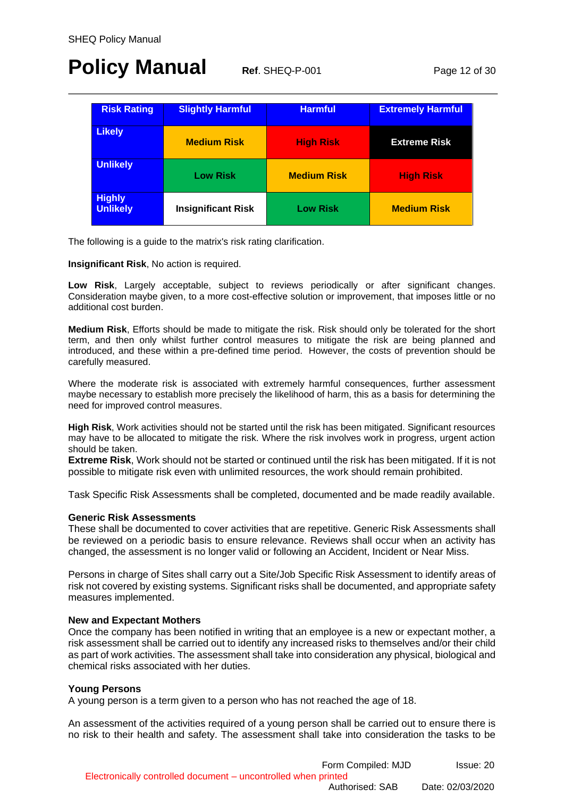# **Policy Manual Ref. SHEQ-P-001 Page 12 of 30**

| <b>Risk Rating</b>               | <b>Slightly Harmful</b>   | <b>Harmful</b>     | <b>Extremely Harmful</b> |
|----------------------------------|---------------------------|--------------------|--------------------------|
| <b>Likely</b>                    | <b>Medium Risk</b>        | <b>High Risk</b>   | <b>Extreme Risk</b>      |
| <b>Unlikely</b>                  | <b>Low Risk</b>           | <b>Medium Risk</b> | <b>High Risk</b>         |
| <b>Highly</b><br><b>Unlikely</b> | <b>Insignificant Risk</b> | <b>Low Risk</b>    | <b>Medium Risk</b>       |

The following is a guide to the matrix's risk rating clarification.

**Insignificant Risk**, No action is required.

**Low Risk**, Largely acceptable, subject to reviews periodically or after significant changes. Consideration maybe given, to a more cost-effective solution or improvement, that imposes little or no additional cost burden.

**Medium Risk**, Efforts should be made to mitigate the risk. Risk should only be tolerated for the short term, and then only whilst further control measures to mitigate the risk are being planned and introduced, and these within a pre-defined time period. However, the costs of prevention should be carefully measured.

Where the moderate risk is associated with extremely harmful consequences, further assessment maybe necessary to establish more precisely the likelihood of harm, this as a basis for determining the need for improved control measures.

**High Risk**, Work activities should not be started until the risk has been mitigated. Significant resources may have to be allocated to mitigate the risk. Where the risk involves work in progress, urgent action should be taken.

**Extreme Risk**, Work should not be started or continued until the risk has been mitigated. If it is not possible to mitigate risk even with unlimited resources, the work should remain prohibited.

Task Specific Risk Assessments shall be completed, documented and be made readily available.

#### **Generic Risk Assessments**

These shall be documented to cover activities that are repetitive. Generic Risk Assessments shall be reviewed on a periodic basis to ensure relevance. Reviews shall occur when an activity has changed, the assessment is no longer valid or following an Accident, Incident or Near Miss.

Persons in charge of Sites shall carry out a Site/Job Specific Risk Assessment to identify areas of risk not covered by existing systems. Significant risks shall be documented, and appropriate safety measures implemented.

#### **New and Expectant Mothers**

Once the company has been notified in writing that an employee is a new or expectant mother, a risk assessment shall be carried out to identify any increased risks to themselves and/or their child as part of work activities. The assessment shall take into consideration any physical, biological and chemical risks associated with her duties.

#### **Young Persons**

A young person is a term given to a person who has not reached the age of 18.

An assessment of the activities required of a young person shall be carried out to ensure there is no risk to their health and safety. The assessment shall take into consideration the tasks to be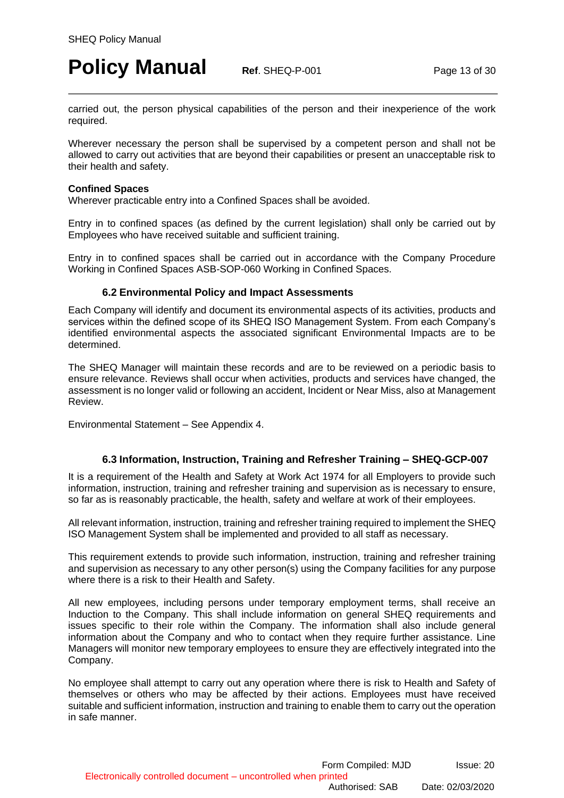# **Policy Manual Ref. SHEQ-P-001 Page 13 of 30**

carried out, the person physical capabilities of the person and their inexperience of the work required.

Wherever necessary the person shall be supervised by a competent person and shall not be allowed to carry out activities that are beyond their capabilities or present an unacceptable risk to their health and safety.

#### **Confined Spaces**

Wherever practicable entry into a Confined Spaces shall be avoided.

Entry in to confined spaces (as defined by the current legislation) shall only be carried out by Employees who have received suitable and sufficient training.

Entry in to confined spaces shall be carried out in accordance with the Company Procedure Working in Confined Spaces ASB-SOP-060 Working in Confined Spaces.

#### **6.2 Environmental Policy and Impact Assessments**

<span id="page-12-0"></span>Each Company will identify and document its environmental aspects of its activities, products and services within the defined scope of its SHEQ ISO Management System. From each Company's identified environmental aspects the associated significant Environmental Impacts are to be determined.

The SHEQ Manager will maintain these records and are to be reviewed on a periodic basis to ensure relevance. Reviews shall occur when activities, products and services have changed, the assessment is no longer valid or following an accident, Incident or Near Miss, also at Management Review.

Environmental Statement – See Appendix 4.

#### **6.3 Information, Instruction, Training and Refresher Training – SHEQ-GCP-007**

<span id="page-12-1"></span>It is a requirement of the Health and Safety at Work Act 1974 for all Employers to provide such information, instruction, training and refresher training and supervision as is necessary to ensure, so far as is reasonably practicable, the health, safety and welfare at work of their employees.

All relevant information, instruction, training and refresher training required to implement the SHEQ ISO Management System shall be implemented and provided to all staff as necessary.

This requirement extends to provide such information, instruction, training and refresher training and supervision as necessary to any other person(s) using the Company facilities for any purpose where there is a risk to their Health and Safety.

All new employees, including persons under temporary employment terms, shall receive an Induction to the Company. This shall include information on general SHEQ requirements and issues specific to their role within the Company. The information shall also include general information about the Company and who to contact when they require further assistance. Line Managers will monitor new temporary employees to ensure they are effectively integrated into the Company.

No employee shall attempt to carry out any operation where there is risk to Health and Safety of themselves or others who may be affected by their actions. Employees must have received suitable and sufficient information, instruction and training to enable them to carry out the operation in safe manner.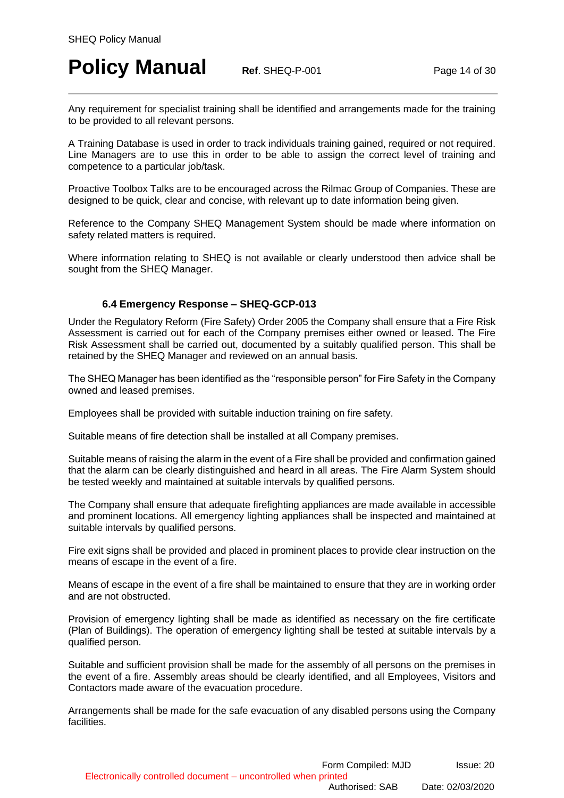# **Policy Manual Ref. SHEQ-P-001 Page 14 of 30**

Any requirement for specialist training shall be identified and arrangements made for the training to be provided to all relevant persons.

A Training Database is used in order to track individuals training gained, required or not required. Line Managers are to use this in order to be able to assign the correct level of training and competence to a particular job/task.

Proactive Toolbox Talks are to be encouraged across the Rilmac Group of Companies. These are designed to be quick, clear and concise, with relevant up to date information being given.

Reference to the Company SHEQ Management System should be made where information on safety related matters is required.

Where information relating to SHEQ is not available or clearly understood then advice shall be sought from the SHEQ Manager.

### **6.4 Emergency Response – SHEQ-GCP-013**

<span id="page-13-0"></span>Under the Regulatory Reform (Fire Safety) Order 2005 the Company shall ensure that a Fire Risk Assessment is carried out for each of the Company premises either owned or leased. The Fire Risk Assessment shall be carried out, documented by a suitably qualified person. This shall be retained by the SHEQ Manager and reviewed on an annual basis.

The SHEQ Manager has been identified as the "responsible person" for Fire Safety in the Company owned and leased premises.

Employees shall be provided with suitable induction training on fire safety.

Suitable means of fire detection shall be installed at all Company premises.

Suitable means of raising the alarm in the event of a Fire shall be provided and confirmation gained that the alarm can be clearly distinguished and heard in all areas. The Fire Alarm System should be tested weekly and maintained at suitable intervals by qualified persons.

The Company shall ensure that adequate firefighting appliances are made available in accessible and prominent locations. All emergency lighting appliances shall be inspected and maintained at suitable intervals by qualified persons.

Fire exit signs shall be provided and placed in prominent places to provide clear instruction on the means of escape in the event of a fire.

Means of escape in the event of a fire shall be maintained to ensure that they are in working order and are not obstructed.

Provision of emergency lighting shall be made as identified as necessary on the fire certificate (Plan of Buildings). The operation of emergency lighting shall be tested at suitable intervals by a qualified person.

Suitable and sufficient provision shall be made for the assembly of all persons on the premises in the event of a fire. Assembly areas should be clearly identified, and all Employees, Visitors and Contactors made aware of the evacuation procedure.

Arrangements shall be made for the safe evacuation of any disabled persons using the Company **facilities**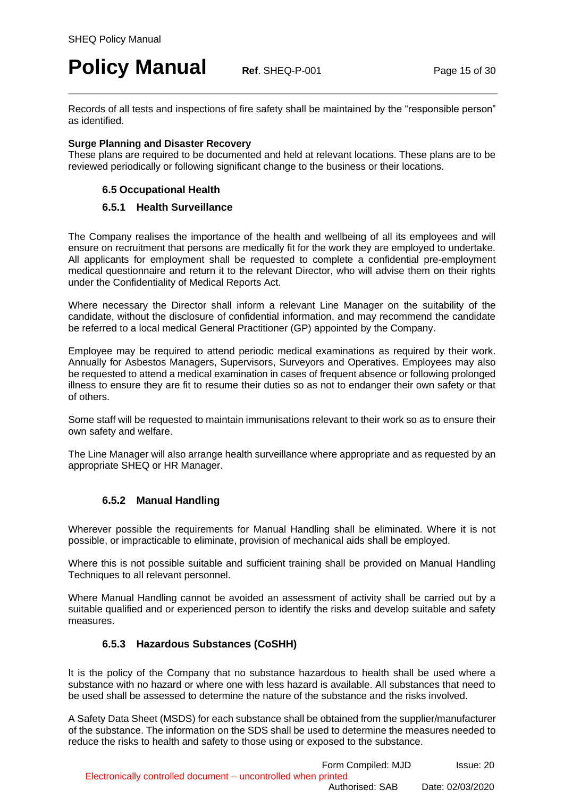### **Policy Manual Ref. SHEQ-P-001 Page 15 of 30**

Records of all tests and inspections of fire safety shall be maintained by the "responsible person" as identified.

#### **Surge Planning and Disaster Recovery**

<span id="page-14-0"></span>These plans are required to be documented and held at relevant locations. These plans are to be reviewed periodically or following significant change to the business or their locations.

### **6.5 Occupational Health**

### **6.5.1 Health Surveillance**

<span id="page-14-1"></span>The Company realises the importance of the health and wellbeing of all its employees and will ensure on recruitment that persons are medically fit for the work they are employed to undertake. All applicants for employment shall be requested to complete a confidential pre-employment medical questionnaire and return it to the relevant Director, who will advise them on their rights under the Confidentiality of Medical Reports Act.

Where necessary the Director shall inform a relevant Line Manager on the suitability of the candidate, without the disclosure of confidential information, and may recommend the candidate be referred to a local medical General Practitioner (GP) appointed by the Company.

Employee may be required to attend periodic medical examinations as required by their work. Annually for Asbestos Managers, Supervisors, Surveyors and Operatives. Employees may also be requested to attend a medical examination in cases of frequent absence or following prolonged illness to ensure they are fit to resume their duties so as not to endanger their own safety or that of others.

Some staff will be requested to maintain immunisations relevant to their work so as to ensure their own safety and welfare.

The Line Manager will also arrange health surveillance where appropriate and as requested by an appropriate SHEQ or HR Manager.

### **6.5.2 Manual Handling**

<span id="page-14-2"></span>Wherever possible the requirements for Manual Handling shall be eliminated. Where it is not possible, or impracticable to eliminate, provision of mechanical aids shall be employed.

Where this is not possible suitable and sufficient training shall be provided on Manual Handling Techniques to all relevant personnel.

Where Manual Handling cannot be avoided an assessment of activity shall be carried out by a suitable qualified and or experienced person to identify the risks and develop suitable and safety measures.

### **6.5.3 Hazardous Substances (CoSHH)**

<span id="page-14-3"></span>It is the policy of the Company that no substance hazardous to health shall be used where a substance with no hazard or where one with less hazard is available. All substances that need to be used shall be assessed to determine the nature of the substance and the risks involved.

A Safety Data Sheet (MSDS) for each substance shall be obtained from the supplier/manufacturer of the substance. The information on the SDS shall be used to determine the measures needed to reduce the risks to health and safety to those using or exposed to the substance.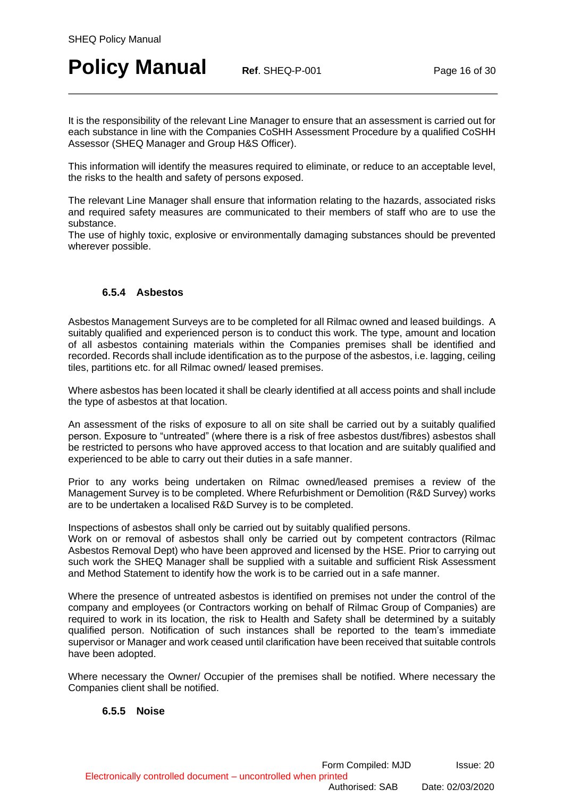# **Policy Manual Ref. SHEQ-P-001 Page 16 of 30**

It is the responsibility of the relevant Line Manager to ensure that an assessment is carried out for each substance in line with the Companies CoSHH Assessment Procedure by a qualified CoSHH Assessor (SHEQ Manager and Group H&S Officer).

This information will identify the measures required to eliminate, or reduce to an acceptable level, the risks to the health and safety of persons exposed.

The relevant Line Manager shall ensure that information relating to the hazards, associated risks and required safety measures are communicated to their members of staff who are to use the substance.

The use of highly toxic, explosive or environmentally damaging substances should be prevented wherever possible.

### **6.5.4 Asbestos**

<span id="page-15-0"></span>Asbestos Management Surveys are to be completed for all Rilmac owned and leased buildings. A suitably qualified and experienced person is to conduct this work. The type, amount and location of all asbestos containing materials within the Companies premises shall be identified and recorded. Records shall include identification as to the purpose of the asbestos, i.e. lagging, ceiling tiles, partitions etc. for all Rilmac owned/ leased premises.

Where asbestos has been located it shall be clearly identified at all access points and shall include the type of asbestos at that location.

An assessment of the risks of exposure to all on site shall be carried out by a suitably qualified person. Exposure to "untreated" (where there is a risk of free asbestos dust/fibres) asbestos shall be restricted to persons who have approved access to that location and are suitably qualified and experienced to be able to carry out their duties in a safe manner.

Prior to any works being undertaken on Rilmac owned/leased premises a review of the Management Survey is to be completed. Where Refurbishment or Demolition (R&D Survey) works are to be undertaken a localised R&D Survey is to be completed.

Inspections of asbestos shall only be carried out by suitably qualified persons.

Work on or removal of asbestos shall only be carried out by competent contractors (Rilmac Asbestos Removal Dept) who have been approved and licensed by the HSE. Prior to carrying out such work the SHEQ Manager shall be supplied with a suitable and sufficient Risk Assessment and Method Statement to identify how the work is to be carried out in a safe manner.

Where the presence of untreated asbestos is identified on premises not under the control of the company and employees (or Contractors working on behalf of Rilmac Group of Companies) are required to work in its location, the risk to Health and Safety shall be determined by a suitably qualified person. Notification of such instances shall be reported to the team's immediate supervisor or Manager and work ceased until clarification have been received that suitable controls have been adopted.

<span id="page-15-1"></span>Where necessary the Owner/ Occupier of the premises shall be notified. Where necessary the Companies client shall be notified.

### **6.5.5 Noise**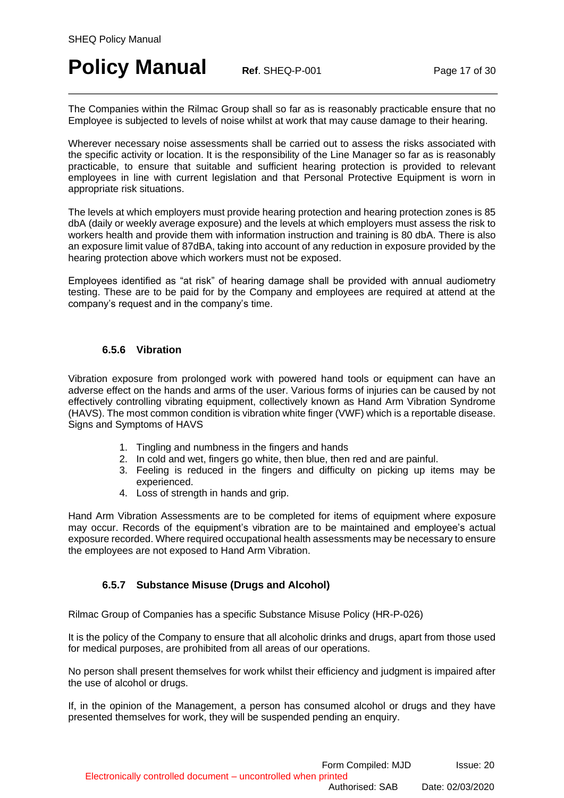# **Policy Manual Ref. SHEQ-P-001 Page 17 of 30**

The Companies within the Rilmac Group shall so far as is reasonably practicable ensure that no Employee is subjected to levels of noise whilst at work that may cause damage to their hearing.

Wherever necessary noise assessments shall be carried out to assess the risks associated with the specific activity or location. It is the responsibility of the Line Manager so far as is reasonably practicable, to ensure that suitable and sufficient hearing protection is provided to relevant employees in line with current legislation and that Personal Protective Equipment is worn in appropriate risk situations.

The levels at which employers must provide hearing protection and hearing protection zones is 85 dbA (daily or weekly average exposure) and the levels at which employers must assess the risk to workers health and provide them with information instruction and training is 80 dbA. There is also an exposure limit value of 87dBA, taking into account of any reduction in exposure provided by the hearing protection above which workers must not be exposed.

Employees identified as "at risk" of hearing damage shall be provided with annual audiometry testing. These are to be paid for by the Company and employees are required at attend at the company's request and in the company's time.

### **6.5.6 Vibration**

<span id="page-16-0"></span>Vibration exposure from prolonged work with powered hand tools or equipment can have an adverse effect on the hands and arms of the user. Various forms of injuries can be caused by not effectively controlling vibrating equipment, collectively known as Hand Arm Vibration Syndrome (HAVS). The most common condition is vibration white finger (VWF) which is a reportable disease. Signs and Symptoms of HAVS

- 1. Tingling and numbness in the fingers and hands
- 2. In cold and wet, fingers go white, then blue, then red and are painful.
- 3. Feeling is reduced in the fingers and difficulty on picking up items may be experienced.
- 4. Loss of strength in hands and grip.

Hand Arm Vibration Assessments are to be completed for items of equipment where exposure may occur. Records of the equipment's vibration are to be maintained and employee's actual exposure recorded. Where required occupational health assessments may be necessary to ensure the employees are not exposed to Hand Arm Vibration.

### **6.5.7 Substance Misuse (Drugs and Alcohol)**

<span id="page-16-1"></span>Rilmac Group of Companies has a specific Substance Misuse Policy (HR-P-026)

It is the policy of the Company to ensure that all alcoholic drinks and drugs, apart from those used for medical purposes, are prohibited from all areas of our operations.

No person shall present themselves for work whilst their efficiency and judgment is impaired after the use of alcohol or drugs.

If, in the opinion of the Management, a person has consumed alcohol or drugs and they have presented themselves for work, they will be suspended pending an enquiry.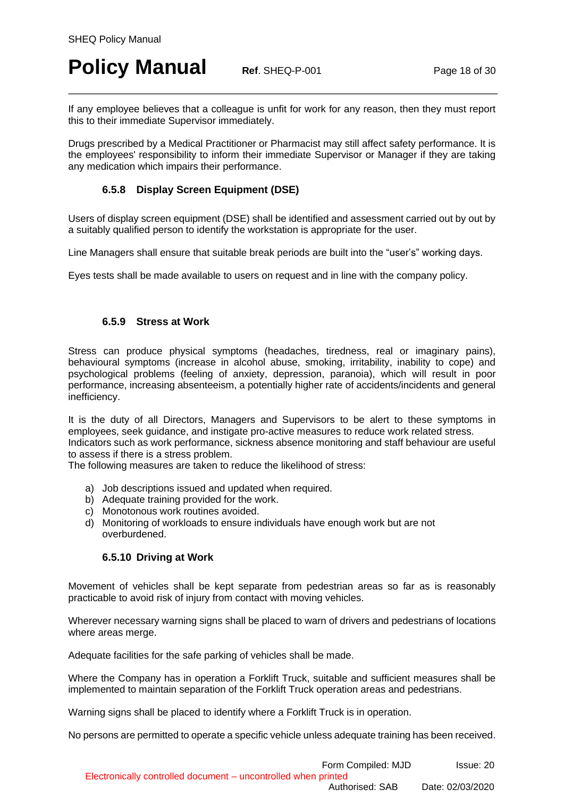# **Policy Manual Ref. SHEQ-P-001 Page 18 of 30**

If any employee believes that a colleague is unfit for work for any reason, then they must report this to their immediate Supervisor immediately.

Drugs prescribed by a Medical Practitioner or Pharmacist may still affect safety performance. It is the employees' responsibility to inform their immediate Supervisor or Manager if they are taking any medication which impairs their performance.

### **6.5.8 Display Screen Equipment (DSE)**

<span id="page-17-0"></span>Users of display screen equipment (DSE) shall be identified and assessment carried out by out by a suitably qualified person to identify the workstation is appropriate for the user.

Line Managers shall ensure that suitable break periods are built into the "user's" working days.

Eyes tests shall be made available to users on request and in line with the company policy.

#### **6.5.9 Stress at Work**

<span id="page-17-1"></span>Stress can produce physical symptoms (headaches, tiredness, real or imaginary pains), behavioural symptoms (increase in alcohol abuse, smoking, irritability, inability to cope) and psychological problems (feeling of anxiety, depression, paranoia), which will result in poor performance, increasing absenteeism, a potentially higher rate of accidents/incidents and general inefficiency.

It is the duty of all Directors, Managers and Supervisors to be alert to these symptoms in employees, seek guidance, and instigate pro-active measures to reduce work related stress. Indicators such as work performance, sickness absence monitoring and staff behaviour are useful to assess if there is a stress problem.

The following measures are taken to reduce the likelihood of stress:

- a) Job descriptions issued and updated when required.
- b) Adequate training provided for the work.
- c) Monotonous work routines avoided.
- d) Monitoring of workloads to ensure individuals have enough work but are not overburdened.

#### **6.5.10 Driving at Work**

<span id="page-17-2"></span>Movement of vehicles shall be kept separate from pedestrian areas so far as is reasonably practicable to avoid risk of injury from contact with moving vehicles.

Wherever necessary warning signs shall be placed to warn of drivers and pedestrians of locations where areas merge.

Adequate facilities for the safe parking of vehicles shall be made.

Where the Company has in operation a Forklift Truck, suitable and sufficient measures shall be implemented to maintain separation of the Forklift Truck operation areas and pedestrians.

Warning signs shall be placed to identify where a Forklift Truck is in operation.

No persons are permitted to operate a specific vehicle unless adequate training has been received.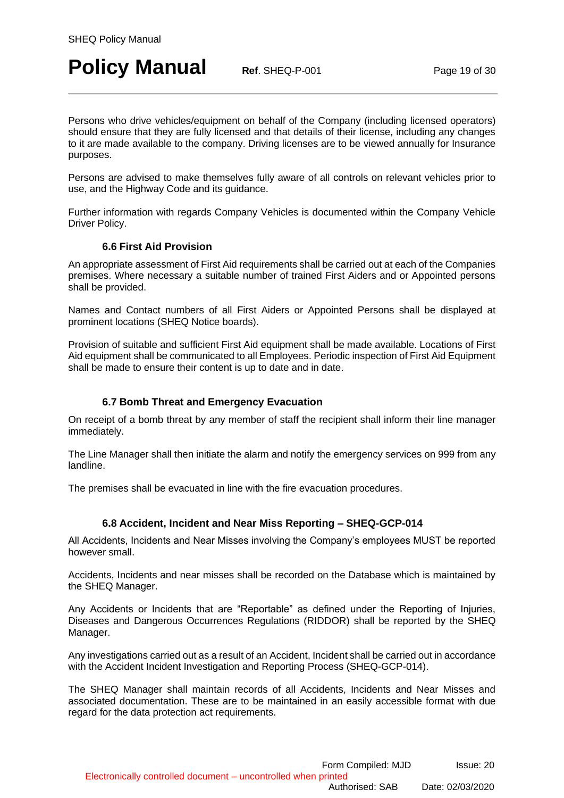# **Policy Manual Ref. SHEQ-P-001 Page 19 of 30**

Persons who drive vehicles/equipment on behalf of the Company (including licensed operators) should ensure that they are fully licensed and that details of their license, including any changes to it are made available to the company. Driving licenses are to be viewed annually for Insurance purposes.

Persons are advised to make themselves fully aware of all controls on relevant vehicles prior to use, and the Highway Code and its guidance.

Further information with regards Company Vehicles is documented within the Company Vehicle Driver Policy.

### **6.6 First Aid Provision**

<span id="page-18-0"></span>An appropriate assessment of First Aid requirements shall be carried out at each of the Companies premises. Where necessary a suitable number of trained First Aiders and or Appointed persons shall be provided.

Names and Contact numbers of all First Aiders or Appointed Persons shall be displayed at prominent locations (SHEQ Notice boards).

Provision of suitable and sufficient First Aid equipment shall be made available. Locations of First Aid equipment shall be communicated to all Employees. Periodic inspection of First Aid Equipment shall be made to ensure their content is up to date and in date.

#### **6.7 Bomb Threat and Emergency Evacuation**

<span id="page-18-1"></span>On receipt of a bomb threat by any member of staff the recipient shall inform their line manager immediately.

The Line Manager shall then initiate the alarm and notify the emergency services on 999 from any landline.

The premises shall be evacuated in line with the fire evacuation procedures.

### **6.8 Accident, Incident and Near Miss Reporting – SHEQ-GCP-014**

<span id="page-18-2"></span>All Accidents, Incidents and Near Misses involving the Company's employees MUST be reported however small.

Accidents, Incidents and near misses shall be recorded on the Database which is maintained by the SHEQ Manager.

Any Accidents or Incidents that are "Reportable" as defined under the Reporting of Injuries, Diseases and Dangerous Occurrences Regulations (RIDDOR) shall be reported by the SHEQ Manager.

Any investigations carried out as a result of an Accident, Incident shall be carried out in accordance with the Accident Incident Investigation and Reporting Process (SHEQ-GCP-014).

The SHEQ Manager shall maintain records of all Accidents, Incidents and Near Misses and associated documentation. These are to be maintained in an easily accessible format with due regard for the data protection act requirements.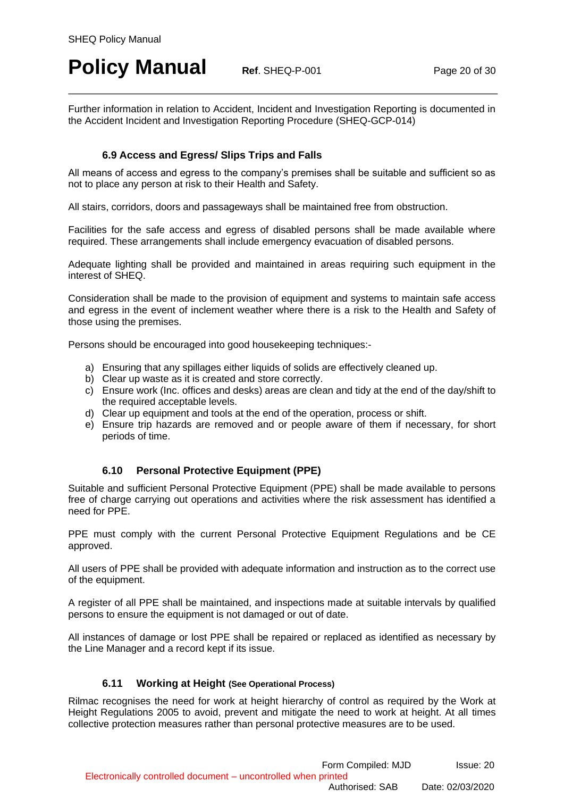# **Policy Manual Ref. SHEQ-P-001 Page 20 of 30**

Further information in relation to Accident, Incident and Investigation Reporting is documented in the Accident Incident and Investigation Reporting Procedure (SHEQ-GCP-014)

### **6.9 Access and Egress/ Slips Trips and Falls**

<span id="page-19-0"></span>All means of access and egress to the company's premises shall be suitable and sufficient so as not to place any person at risk to their Health and Safety.

All stairs, corridors, doors and passageways shall be maintained free from obstruction.

Facilities for the safe access and egress of disabled persons shall be made available where required. These arrangements shall include emergency evacuation of disabled persons.

Adequate lighting shall be provided and maintained in areas requiring such equipment in the interest of SHEQ.

Consideration shall be made to the provision of equipment and systems to maintain safe access and egress in the event of inclement weather where there is a risk to the Health and Safety of those using the premises.

Persons should be encouraged into good housekeeping techniques:-

- a) Ensuring that any spillages either liquids of solids are effectively cleaned up.
- b) Clear up waste as it is created and store correctly.
- c) Ensure work (Inc. offices and desks) areas are clean and tidy at the end of the day/shift to the required acceptable levels.
- d) Clear up equipment and tools at the end of the operation, process or shift.
- e) Ensure trip hazards are removed and or people aware of them if necessary, for short periods of time.

### **6.10 Personal Protective Equipment (PPE)**

<span id="page-19-1"></span>Suitable and sufficient Personal Protective Equipment (PPE) shall be made available to persons free of charge carrying out operations and activities where the risk assessment has identified a need for PPE.

PPE must comply with the current Personal Protective Equipment Regulations and be CE approved.

All users of PPE shall be provided with adequate information and instruction as to the correct use of the equipment.

A register of all PPE shall be maintained, and inspections made at suitable intervals by qualified persons to ensure the equipment is not damaged or out of date.

All instances of damage or lost PPE shall be repaired or replaced as identified as necessary by the Line Manager and a record kept if its issue.

#### **6.11 Working at Height (See Operational Process)**

<span id="page-19-2"></span>Rilmac recognises the need for work at height hierarchy of control as required by the Work at Height Regulations 2005 to avoid, prevent and mitigate the need to work at height. At all times collective protection measures rather than personal protective measures are to be used.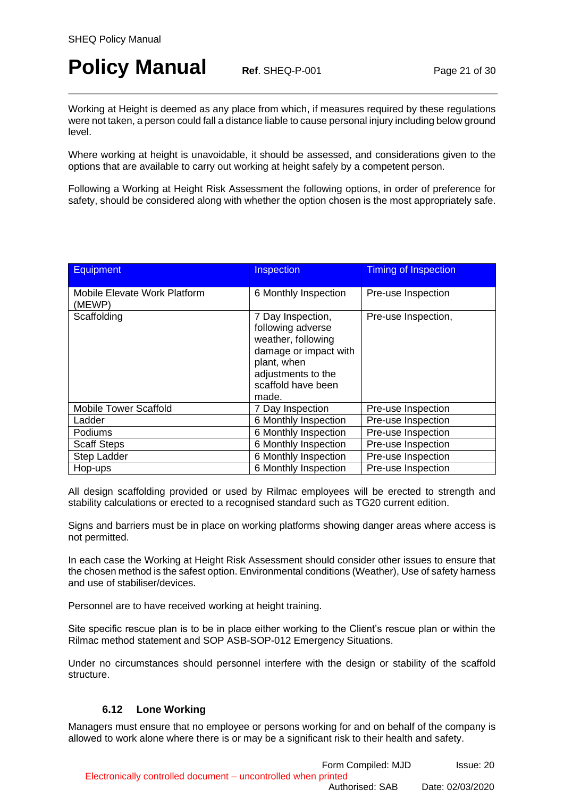# **Policy Manual Ref. SHEQ-P-001 Page 21 of 30**

Working at Height is deemed as any place from which, if measures required by these regulations were not taken, a person could fall a distance liable to cause personal injury including below ground level.

Where working at height is unavoidable, it should be assessed, and considerations given to the options that are available to carry out working at height safely by a competent person.

Following a Working at Height Risk Assessment the following options, in order of preference for safety, should be considered along with whether the option chosen is the most appropriately safe.

| <b>Equipment</b>                       | Inspection                                                                                                                                                | <b>Timing of Inspection</b> |
|----------------------------------------|-----------------------------------------------------------------------------------------------------------------------------------------------------------|-----------------------------|
| Mobile Elevate Work Platform<br>(MEWP) | 6 Monthly Inspection                                                                                                                                      | Pre-use Inspection          |
| Scaffolding                            | 7 Day Inspection,<br>following adverse<br>weather, following<br>damage or impact with<br>plant, when<br>adjustments to the<br>scaffold have been<br>made. | Pre-use Inspection,         |
| <b>Mobile Tower Scaffold</b>           | 7 Day Inspection                                                                                                                                          | Pre-use Inspection          |
| Ladder                                 | 6 Monthly Inspection                                                                                                                                      | Pre-use Inspection          |
| Podiums                                | 6 Monthly Inspection                                                                                                                                      | Pre-use Inspection          |
| <b>Scaff Steps</b>                     | 6 Monthly Inspection                                                                                                                                      | Pre-use Inspection          |
| Step Ladder                            | 6 Monthly Inspection                                                                                                                                      | Pre-use Inspection          |
| Hop-ups                                | 6 Monthly Inspection                                                                                                                                      | Pre-use Inspection          |

All design scaffolding provided or used by Rilmac employees will be erected to strength and stability calculations or erected to a recognised standard such as TG20 current edition.

Signs and barriers must be in place on working platforms showing danger areas where access is not permitted.

In each case the Working at Height Risk Assessment should consider other issues to ensure that the chosen method is the safest option. Environmental conditions (Weather), Use of safety harness and use of stabiliser/devices.

Personnel are to have received working at height training.

Site specific rescue plan is to be in place either working to the Client's rescue plan or within the Rilmac method statement and SOP ASB-SOP-012 Emergency Situations.

Under no circumstances should personnel interfere with the design or stability of the scaffold structure.

### **6.12 Lone Working**

<span id="page-20-0"></span>Managers must ensure that no employee or persons working for and on behalf of the company is allowed to work alone where there is or may be a significant risk to their health and safety.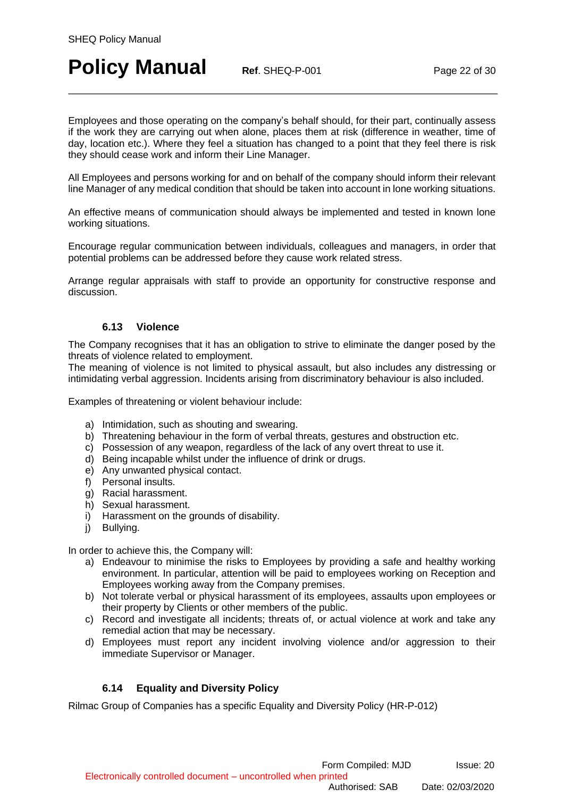# **Policy Manual Ref. SHEQ-P-001 Page 22 of 30**

Employees and those operating on the company's behalf should, for their part, continually assess if the work they are carrying out when alone, places them at risk (difference in weather, time of day, location etc.). Where they feel a situation has changed to a point that they feel there is risk they should cease work and inform their Line Manager.

All Employees and persons working for and on behalf of the company should inform their relevant line Manager of any medical condition that should be taken into account in lone working situations.

An effective means of communication should always be implemented and tested in known lone working situations.

Encourage regular communication between individuals, colleagues and managers, in order that potential problems can be addressed before they cause work related stress.

Arrange regular appraisals with staff to provide an opportunity for constructive response and discussion.

#### **6.13 Violence**

<span id="page-21-0"></span>The Company recognises that it has an obligation to strive to eliminate the danger posed by the threats of violence related to employment.

The meaning of violence is not limited to physical assault, but also includes any distressing or intimidating verbal aggression. Incidents arising from discriminatory behaviour is also included.

Examples of threatening or violent behaviour include:

- a) Intimidation, such as shouting and swearing.
- b) Threatening behaviour in the form of verbal threats, gestures and obstruction etc.
- c) Possession of any weapon, regardless of the lack of any overt threat to use it.
- d) Being incapable whilst under the influence of drink or drugs.
- e) Any unwanted physical contact.
- f) Personal insults.
- g) Racial harassment.
- h) Sexual harassment.
- i) Harassment on the grounds of disability.
- i) Bullving.

In order to achieve this, the Company will:

- a) Endeavour to minimise the risks to Employees by providing a safe and healthy working environment. In particular, attention will be paid to employees working on Reception and Employees working away from the Company premises.
- b) Not tolerate verbal or physical harassment of its employees, assaults upon employees or their property by Clients or other members of the public.
- c) Record and investigate all incidents; threats of, or actual violence at work and take any remedial action that may be necessary.
- d) Employees must report any incident involving violence and/or aggression to their immediate Supervisor or Manager.

### **6.14 Equality and Diversity Policy**

<span id="page-21-1"></span>Rilmac Group of Companies has a specific Equality and Diversity Policy (HR-P-012)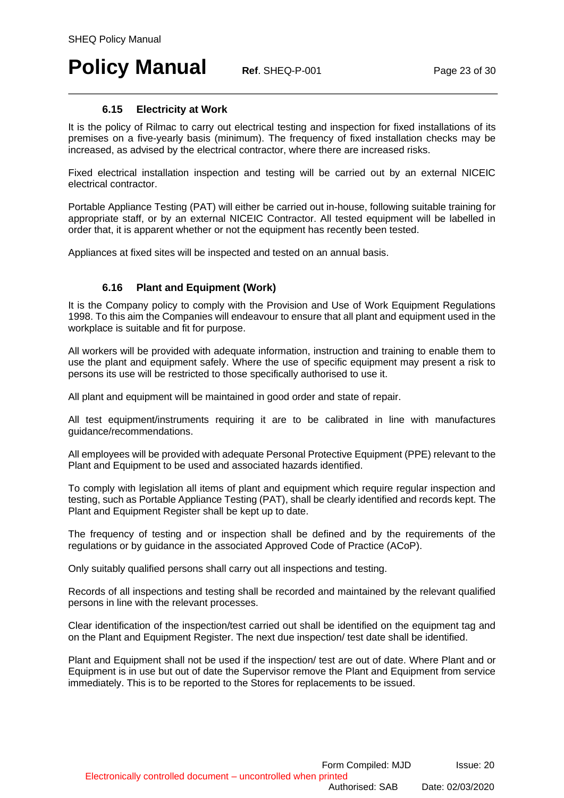# **Policy Manual Ref. SHEQ-P-001 Page 23 of 30**

### **6.15 Electricity at Work**

<span id="page-22-0"></span>It is the policy of Rilmac to carry out electrical testing and inspection for fixed installations of its premises on a five-yearly basis (minimum). The frequency of fixed installation checks may be increased, as advised by the electrical contractor, where there are increased risks.

Fixed electrical installation inspection and testing will be carried out by an external NICEIC electrical contractor.

Portable Appliance Testing (PAT) will either be carried out in-house, following suitable training for appropriate staff, or by an external NICEIC Contractor. All tested equipment will be labelled in order that, it is apparent whether or not the equipment has recently been tested.

Appliances at fixed sites will be inspected and tested on an annual basis.

### **6.16 Plant and Equipment (Work)**

<span id="page-22-1"></span>It is the Company policy to comply with the Provision and Use of Work Equipment Regulations 1998. To this aim the Companies will endeavour to ensure that all plant and equipment used in the workplace is suitable and fit for purpose.

All workers will be provided with adequate information, instruction and training to enable them to use the plant and equipment safely. Where the use of specific equipment may present a risk to persons its use will be restricted to those specifically authorised to use it.

All plant and equipment will be maintained in good order and state of repair.

All test equipment/instruments requiring it are to be calibrated in line with manufactures guidance/recommendations.

All employees will be provided with adequate Personal Protective Equipment (PPE) relevant to the Plant and Equipment to be used and associated hazards identified.

To comply with legislation all items of plant and equipment which require regular inspection and testing, such as Portable Appliance Testing (PAT), shall be clearly identified and records kept. The Plant and Equipment Register shall be kept up to date.

The frequency of testing and or inspection shall be defined and by the requirements of the regulations or by guidance in the associated Approved Code of Practice (ACoP).

Only suitably qualified persons shall carry out all inspections and testing.

Records of all inspections and testing shall be recorded and maintained by the relevant qualified persons in line with the relevant processes.

Clear identification of the inspection/test carried out shall be identified on the equipment tag and on the Plant and Equipment Register. The next due inspection/ test date shall be identified.

Plant and Equipment shall not be used if the inspection/ test are out of date. Where Plant and or Equipment is in use but out of date the Supervisor remove the Plant and Equipment from service immediately. This is to be reported to the Stores for replacements to be issued.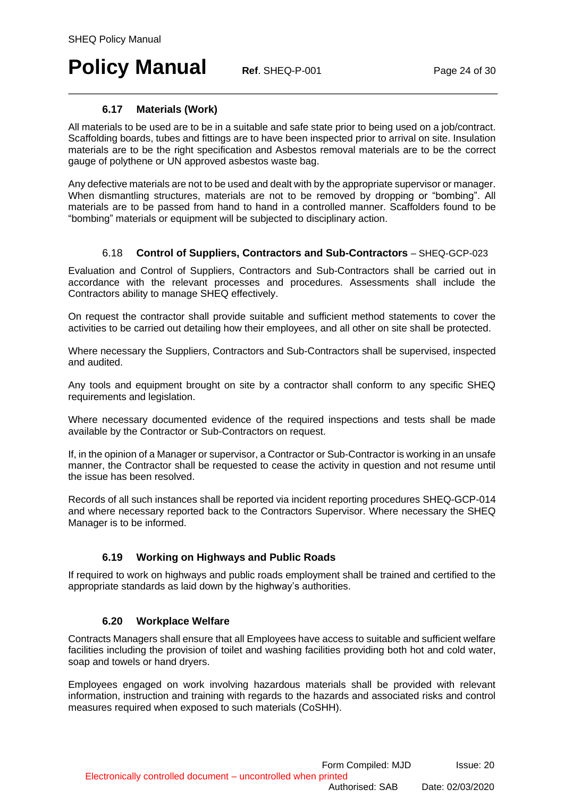# **Policy Manual Ref. SHEQ-P-001 Page 24 of 30**

### **6.17 Materials (Work)**

<span id="page-23-0"></span>All materials to be used are to be in a suitable and safe state prior to being used on a job/contract. Scaffolding boards, tubes and fittings are to have been inspected prior to arrival on site. Insulation materials are to be the right specification and Asbestos removal materials are to be the correct gauge of polythene or UN approved asbestos waste bag.

Any defective materials are not to be used and dealt with by the appropriate supervisor or manager. When dismantling structures, materials are not to be removed by dropping or "bombing". All materials are to be passed from hand to hand in a controlled manner. Scaffolders found to be "bombing" materials or equipment will be subjected to disciplinary action.

### 6.18 **Control of Suppliers, Contractors and Sub-Contractors** – SHEQ-GCP-023

<span id="page-23-1"></span>Evaluation and Control of Suppliers, Contractors and Sub-Contractors shall be carried out in accordance with the relevant processes and procedures. Assessments shall include the Contractors ability to manage SHEQ effectively.

On request the contractor shall provide suitable and sufficient method statements to cover the activities to be carried out detailing how their employees, and all other on site shall be protected.

Where necessary the Suppliers, Contractors and Sub-Contractors shall be supervised, inspected and audited.

Any tools and equipment brought on site by a contractor shall conform to any specific SHEQ requirements and legislation.

Where necessary documented evidence of the required inspections and tests shall be made available by the Contractor or Sub-Contractors on request.

If, in the opinion of a Manager or supervisor, a Contractor or Sub-Contractor is working in an unsafe manner, the Contractor shall be requested to cease the activity in question and not resume until the issue has been resolved.

Records of all such instances shall be reported via incident reporting procedures SHEQ-GCP-014 and where necessary reported back to the Contractors Supervisor. Where necessary the SHEQ Manager is to be informed.

### **6.19 Working on Highways and Public Roads**

<span id="page-23-2"></span>If required to work on highways and public roads employment shall be trained and certified to the appropriate standards as laid down by the highway's authorities.

#### **6.20 Workplace Welfare**

<span id="page-23-3"></span>Contracts Managers shall ensure that all Employees have access to suitable and sufficient welfare facilities including the provision of toilet and washing facilities providing both hot and cold water, soap and towels or hand dryers.

Employees engaged on work involving hazardous materials shall be provided with relevant information, instruction and training with regards to the hazards and associated risks and control measures required when exposed to such materials (CoSHH).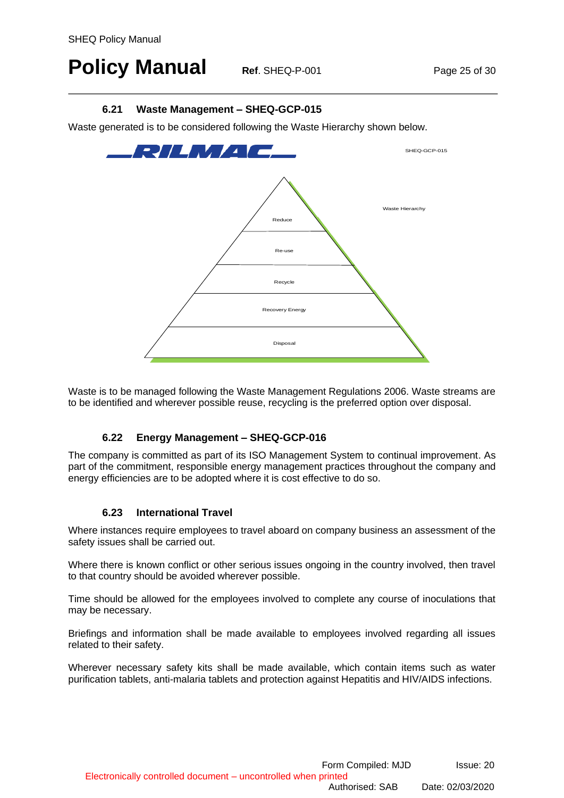# **Policy Manual Ref. SHEQ-P-001 Page 25 of 30**

### **6.21 Waste Management – SHEQ-GCP-015**

<span id="page-24-0"></span>Waste generated is to be considered following the Waste Hierarchy shown below.



Waste is to be managed following the Waste Management Regulations 2006. Waste streams are to be identified and wherever possible reuse, recycling is the preferred option over disposal.

### **6.22 Energy Management – SHEQ-GCP-016**

<span id="page-24-1"></span>The company is committed as part of its ISO Management System to continual improvement. As part of the commitment, responsible energy management practices throughout the company and energy efficiencies are to be adopted where it is cost effective to do so.

### **6.23 International Travel**

<span id="page-24-2"></span>Where instances require employees to travel aboard on company business an assessment of the safety issues shall be carried out.

Where there is known conflict or other serious issues ongoing in the country involved, then travel to that country should be avoided wherever possible.

Time should be allowed for the employees involved to complete any course of inoculations that may be necessary.

Briefings and information shall be made available to employees involved regarding all issues related to their safety.

Wherever necessary safety kits shall be made available, which contain items such as water purification tablets, anti-malaria tablets and protection against Hepatitis and HIV/AIDS infections.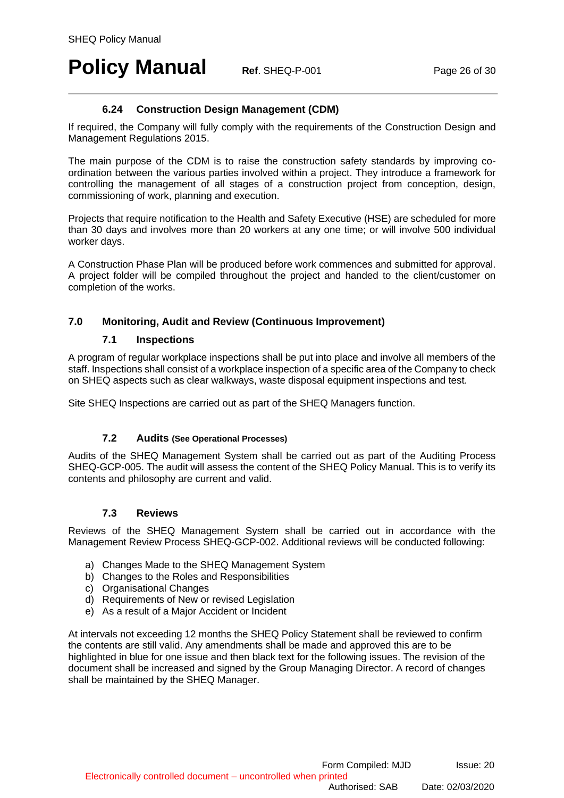# **Policy Manual Ref. SHEQ-P-001 Page 26 of 30**

### **6.24 Construction Design Management (CDM)**

<span id="page-25-0"></span>If required, the Company will fully comply with the requirements of the Construction Design and Management Regulations 2015.

The main purpose of the CDM is to raise the construction safety standards by improving coordination between the various parties involved within a project. They introduce a framework for controlling the management of all stages of a construction project from conception, design, commissioning of work, planning and execution.

Projects that require notification to the Health and Safety Executive (HSE) are scheduled for more than 30 days and involves more than 20 workers at any one time; or will involve 500 individual worker days.

A Construction Phase Plan will be produced before work commences and submitted for approval. A project folder will be compiled throughout the project and handed to the client/customer on completion of the works.

### <span id="page-25-1"></span>**7.0 Monitoring, Audit and Review (Continuous Improvement)**

#### **7.1 Inspections**

<span id="page-25-2"></span>A program of regular workplace inspections shall be put into place and involve all members of the staff. Inspections shall consist of a workplace inspection of a specific area of the Company to check on SHEQ aspects such as clear walkways, waste disposal equipment inspections and test.

Site SHEQ Inspections are carried out as part of the SHEQ Managers function.

### **7.2 Audits (See Operational Processes)**

<span id="page-25-3"></span>Audits of the SHEQ Management System shall be carried out as part of the Auditing Process SHEQ-GCP-005. The audit will assess the content of the SHEQ Policy Manual. This is to verify its contents and philosophy are current and valid.

#### **7.3 Reviews**

<span id="page-25-4"></span>Reviews of the SHEQ Management System shall be carried out in accordance with the Management Review Process SHEQ-GCP-002. Additional reviews will be conducted following:

- a) Changes Made to the SHEQ Management System
- b) Changes to the Roles and Responsibilities
- c) Organisational Changes
- d) Requirements of New or revised Legislation
- e) As a result of a Major Accident or Incident

At intervals not exceeding 12 months the SHEQ Policy Statement shall be reviewed to confirm the contents are still valid. Any amendments shall be made and approved this are to be highlighted in blue for one issue and then black text for the following issues. The revision of the document shall be increased and signed by the Group Managing Director. A record of changes shall be maintained by the SHEQ Manager.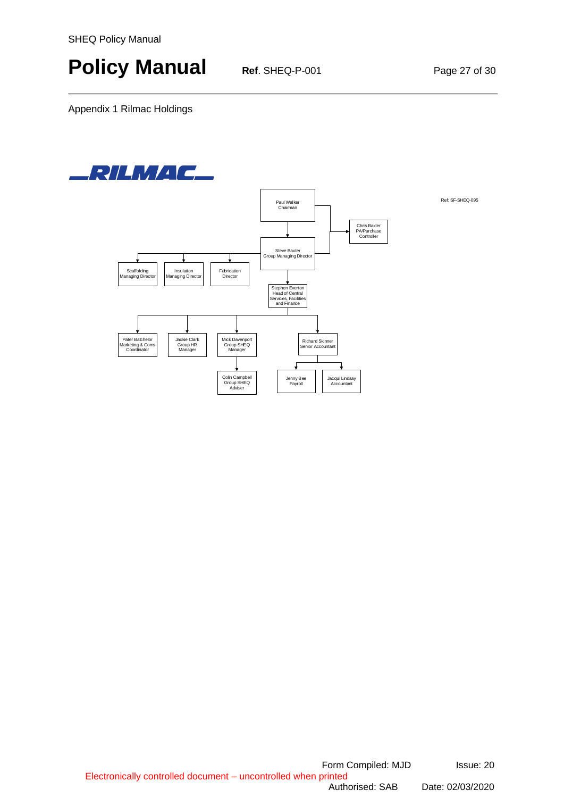# **Policy Manual Ref. SHEQ-P-001 Page 27 of 30**

Appendix 1 Rilmac Holdings

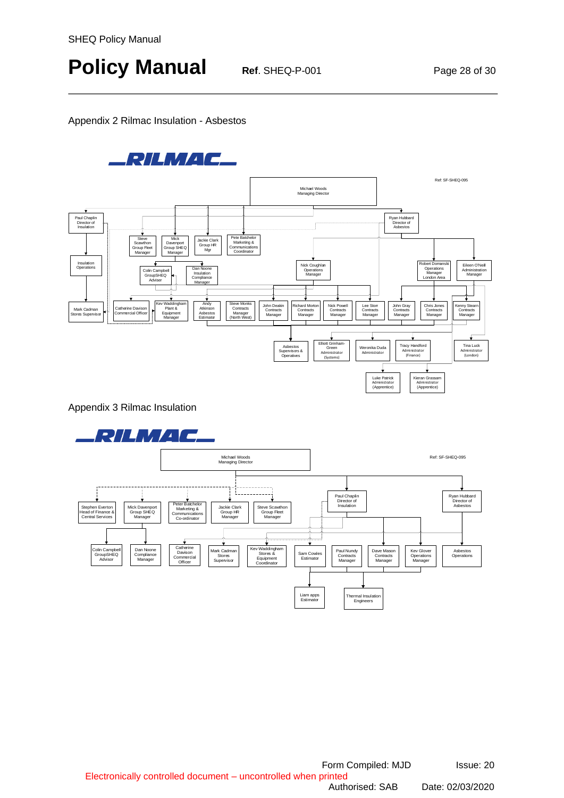# **Policy Manual Ref. SHEQ-P-001 Page 28 of 30**

#### Appendix 2 Rilmac Insulation - Asbestos



Appendix 3 Rilmac Insulation

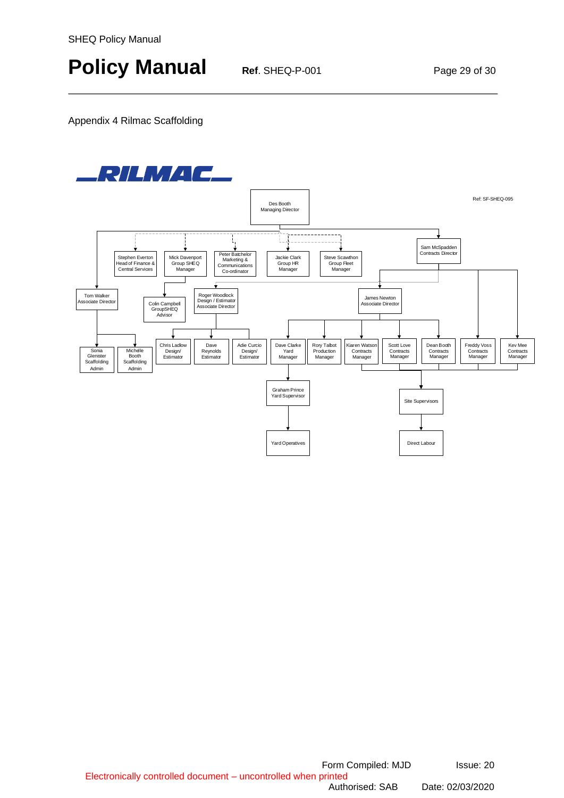# **Policy Manual Ref. SHEQ-P-001 Page 29 of 30**

Appendix 4 Rilmac Scaffolding